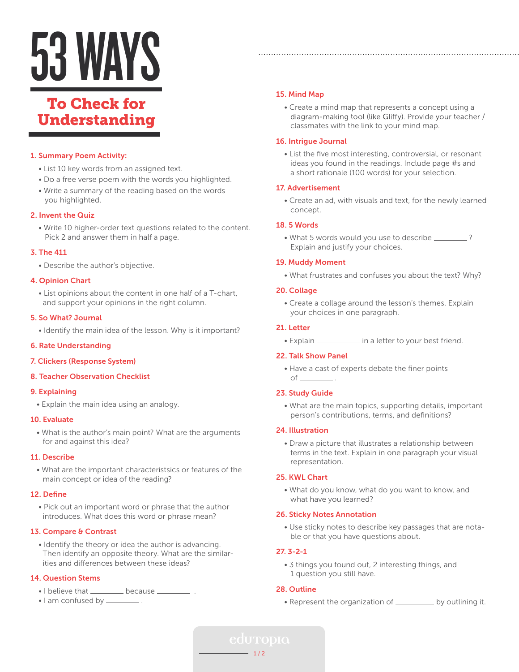# 53WAYS

# To Check for Understanding

# 1. Summary Poem Activity:

- List 10 key words from an assigned text.
- Do a free verse poem with the words you highlighted.
- Write a summary of the reading based on the words you highlighted.

# 2. Invent the Quiz

 • Write 10 higher-order text questions related to the content. Pick 2 and answer them in half a page.

# 3. The 411

• Describe the author's objective.

# 4. Opinion Chart

 • List opinions about the content in one half of a T-chart, and support your opinions in the right column.

# 5. So What? Journal

• Identify the main idea of the lesson. Why is it important?

# 6. Rate Understanding

# 7. Clickers (Response System)

# 8. Teacher Observation Checklist

# 9. Explaining

• Explain the main idea using an analogy.

#### 10. Evaluate

 • What is the author's main point? What are the arguments for and against this idea?

#### 11. Describe

 • What are the important characteristsics or features of the main concept or idea of the reading?

# 12. Define

 • Pick out an important word or phrase that the author introduces. What does this word or phrase mean?

# 13. Compare & Contrast

 • Identify the theory or idea the author is advancing. Then identify an opposite theory. What are the similarities and differences between these ideas?

# 14. Question Stems

- I believe that \_\_\_\_\_\_\_\_\_ because .\_\_\_\_
- I am confused by \_\_\_\_\_\_\_\_\_\_.

# 15. Mind Map

 • Create a mind map that represents a concept using a diagram-making tool (like Gliffy). Provide your teacher / classmates with the link to your mind map.

# 16. Intrigue Journal

 • List the five most interesting, controversial, or resonant ideas you found in the readings. Include page #s and a short rationale (100 words) for your selection.

# 17. Advertisement

 • Create an ad, with visuals and text, for the newly learned concept.

# 18. 5 Words

• What 5 words would you use to describe \_\_\_\_\_\_\_\_? Explain and justify your choices.

# 19. Muddy Moment

• What frustrates and confuses you about the text? Why?

# 20. Collage

 • Create a collage around the lesson's themes. Explain your choices in one paragraph.

# 21. Letter

• Explain  $\frac{1}{\sqrt{1-\frac{1}{\sqrt{1-\frac{1}{\sqrt{1-\frac{1}{\sqrt{1-\frac{1}{\sqrt{1-\frac{1}{\sqrt{1-\frac{1}{\sqrt{1-\frac{1}{\sqrt{1-\frac{1}{\sqrt{1-\frac{1}{\sqrt{1-\frac{1}{\sqrt{1-\frac{1}{\sqrt{1-\frac{1}{\sqrt{1-\frac{1}{\sqrt{1-\frac{1}{\sqrt{1-\frac{1}{\sqrt{1-\frac{1}{\sqrt{1-\frac{1}{\sqrt{1-\frac{1}{\sqrt{1-\frac{1}{\sqrt{1-\frac{1}{\sqrt{1-\frac{1}{\sqrt{1-\frac{1}{\sqrt{1-\frac{1$ 

# 22. Talk Show Panel

 • Have a cast of experts debate the finer points  $of$   $\qquad$  .

# 23. Study Guide

 • What are the main topics, supporting details, important person's contributions, terms, and definitions?

#### 24. Illustration

 • Draw a picture that illustrates a relationship between terms in the text. Explain in one paragraph your visual representation.

# 25. KWL Chart

 • What do you know, what do you want to know, and what have you learned?

#### 26. Sticky Notes Annotation

 • Use sticky notes to describe key passages that are nota ble or that you have questions about.

# 27. 3-2-1

 • 3 things you found out, 2 interesting things, and 1 question you still have.

# 28. Outline

• Represent the organization of \_\_\_\_\_\_\_\_\_ by outlining it.